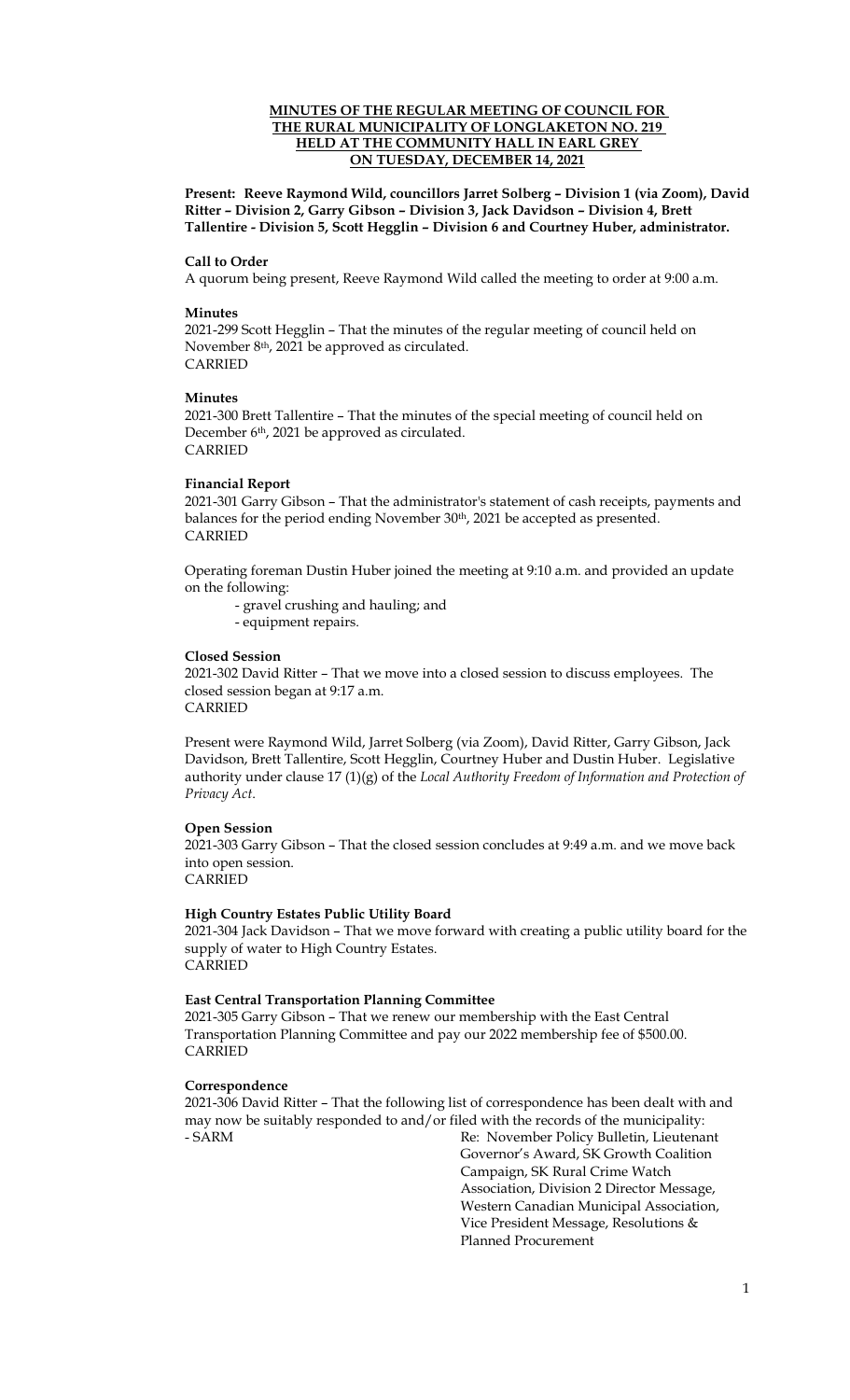## **MINUTES OF THE REGULAR MEETING OF COUNCIL FOR THE RURAL MUNICIPALITY OF LONGLAKETON NO. 219 HELD AT THE COMMUNITY HALL IN EARL GREY ON TUESDAY, DECEMBER 14, 2021**

**Present: Reeve Raymond Wild, councillors Jarret Solberg – Division 1 (via Zoom), David Ritter – Division 2, Garry Gibson – Division 3, Jack Davidson – Division 4, Brett Tallentire - Division 5, Scott Hegglin – Division 6 and Courtney Huber, administrator.**

#### **Call to Order**

A quorum being present, Reeve Raymond Wild called the meeting to order at 9:00 a.m.

#### **Minutes**

2021-299 Scott Hegglin – That the minutes of the regular meeting of council held on November 8<sup>th</sup>, 2021 be approved as circulated. CARRIED

#### **Minutes**

2021-300 Brett Tallentire – That the minutes of the special meeting of council held on December 6<sup>th</sup>, 2021 be approved as circulated. CARRIED

#### **Financial Report**

2021-301 Garry Gibson – That the administrator's statement of cash receipts, payments and balances for the period ending November 30<sup>th</sup>, 2021 be accepted as presented. CARRIED

Operating foreman Dustin Huber joined the meeting at 9:10 a.m. and provided an update on the following:

- gravel crushing and hauling; and
- equipment repairs.

#### **Closed Session**

2021-302 David Ritter – That we move into a closed session to discuss employees. The closed session began at 9:17 a.m. CARRIED

Present were Raymond Wild, Jarret Solberg (via Zoom), David Ritter, Garry Gibson, Jack Davidson, Brett Tallentire, Scott Hegglin, Courtney Huber and Dustin Huber. Legislative authority under clause 17 (1)(g) of the *Local Authority Freedom of Information and Protection of Privacy Act*.

#### **Open Session**

2021-303 Garry Gibson – That the closed session concludes at 9:49 a.m. and we move back into open session.

CARRIED

#### **High Country Estates Public Utility Board**

2021-304 Jack Davidson – That we move forward with creating a public utility board for the supply of water to High Country Estates. CARRIED

#### **East Central Transportation Planning Committee**

2021-305 Garry Gibson – That we renew our membership with the East Central Transportation Planning Committee and pay our 2022 membership fee of \$500.00. CARRIED

#### **Correspondence**

2021-306 David Ritter – That the following list of correspondence has been dealt with and may now be suitably responded to and/or filed with the records of the municipality: - SARM Re: November Policy Bulletin, Lieutenant

Governor's Award, SK Growth Coalition Campaign, SK Rural Crime Watch Association, Division 2 Director Message, Western Canadian Municipal Association, Vice President Message, Resolutions & Planned Procurement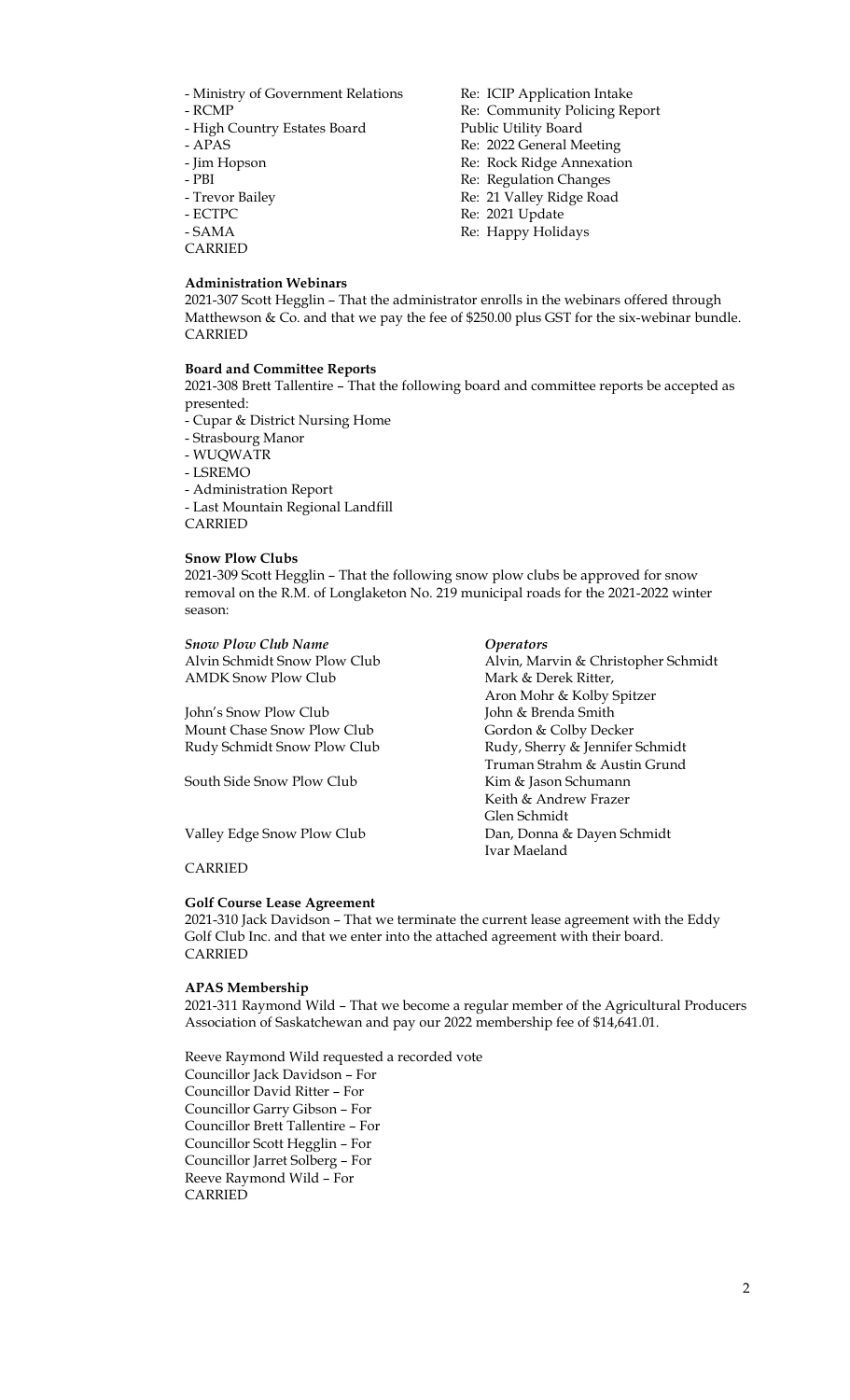- Ministry of Government Relations Re: ICIP Application Intake
- 
- High Country Estates Board Public Utility Board
- 
- 
- 
- 
- 
- 
- CARRIED

## **Administration Webinars**

- RCMP Re: Community Policing Report - APAS Re: 2022 General Meeting - Jim Hopson Re: Rock Ridge Annexation - PBI Re: Regulation Changes - Trevor Bailey Re: 21 Valley Ridge Road - ECTPC Re: 2021 Update - SAMA Re: Happy Holidays

2021-307 Scott Hegglin – That the administrator enrolls in the webinars offered through Matthewson & Co. and that we pay the fee of \$250.00 plus GST for the six-webinar bundle. CARRIED

## **Board and Committee Reports**

2021-308 Brett Tallentire – That the following board and committee reports be accepted as presented:

- Cupar & District Nursing Home - Strasbourg Manor - WUQWATR - LSREMO - Administration Report - Last Mountain Regional Landfill CARRIED

### **Snow Plow Clubs**

2021-309 Scott Hegglin – That the following snow plow clubs be approved for snow removal on the R.M. of Longlaketon No. 219 municipal roads for the 2021-2022 winter season:

> Mark & Derek Ritter, Aron Mohr & Kolby Spitzer

Keith & Andrew Frazer

Glen Schmidt

Ivar Maeland

Truman Strahm & Austin Grund

*Snow Plow Club Name Operators* Alvin Schmidt Snow Plow Club Alvin, Marvin & Christopher Schmidt<br>AMDK Snow Plow Club Mark & Derek Ritter.

John's Snow Plow Club John & Brenda Smith Mount Chase Snow Plow Club Gordon & Colby Decker Rudy Schmidt Snow Plow Club Rudy, Sherry & Jennifer Schmidt

South Side Snow Plow Club Kim & Jason Schumann

Valley Edge Snow Plow Club Dan, Donna & Dayen Schmidt

### CARRIED

### **Golf Course Lease Agreement**

2021-310 Jack Davidson – That we terminate the current lease agreement with the Eddy Golf Club Inc. and that we enter into the attached agreement with their board. CARRIED

### **APAS Membership**

2021-311 Raymond Wild – That we become a regular member of the Agricultural Producers Association of Saskatchewan and pay our 2022 membership fee of \$14,641.01.

Reeve Raymond Wild requested a recorded vote Councillor Jack Davidson – For Councillor David Ritter – For Councillor Garry Gibson – For Councillor Brett Tallentire – For Councillor Scott Hegglin – For Councillor Jarret Solberg – For Reeve Raymond Wild – For **CARRIED**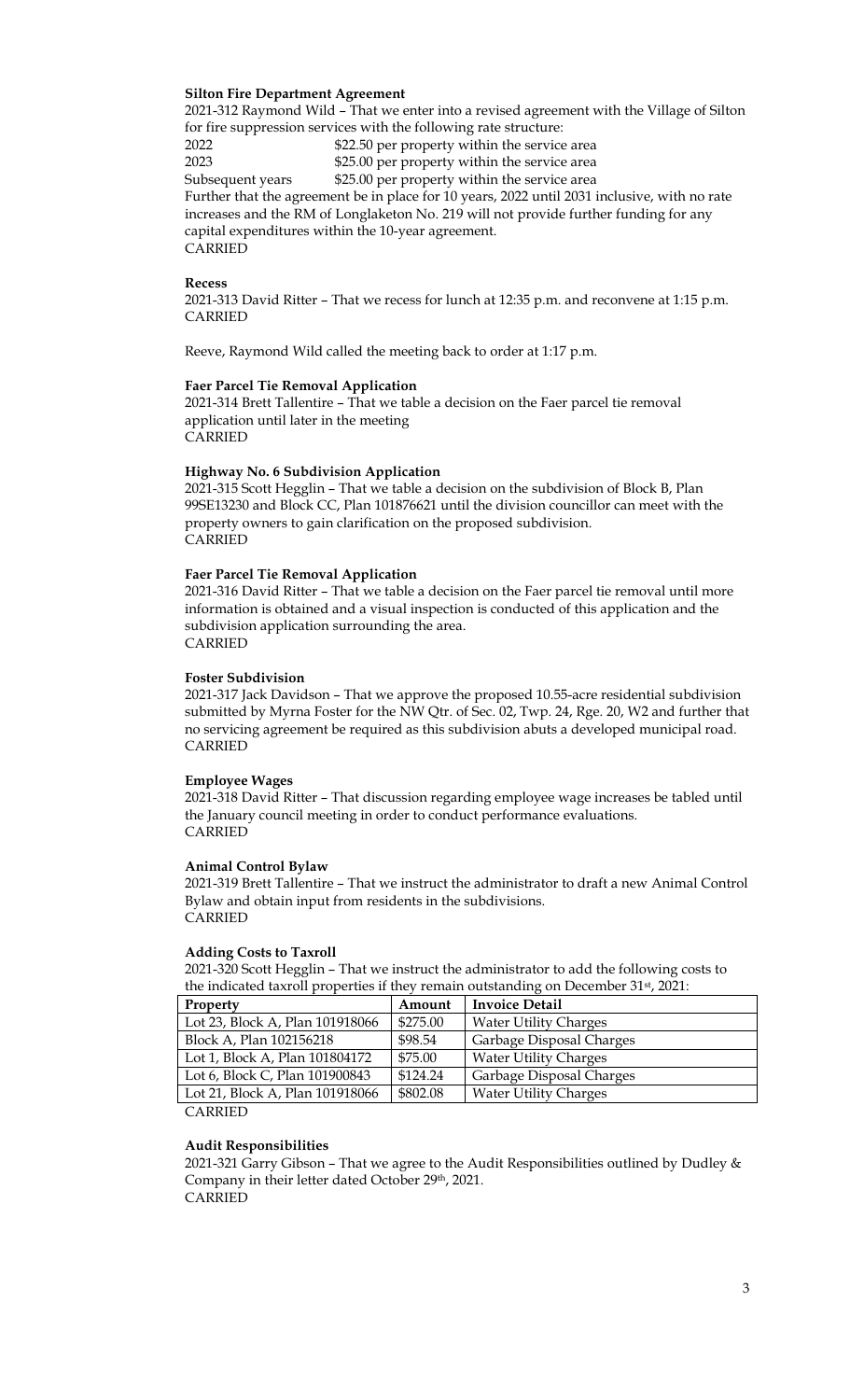## **Silton Fire Department Agreement**

2021-312 Raymond Wild – That we enter into a revised agreement with the Village of Silton for fire suppression services with the following rate structure:

2022 \$22.50 per property within the service area 2023 \$25.00 per property within the service area Subsequent years \$25.00 per property within the service area Further that the agreement be in place for 10 years, 2022 until 2031 inclusive, with no rate increases and the RM of Longlaketon No. 219 will not provide further funding for any capital expenditures within the 10-year agreement. CARRIED

### **Recess**

2021-313 David Ritter – That we recess for lunch at 12:35 p.m. and reconvene at 1:15 p.m. CARRIED

Reeve, Raymond Wild called the meeting back to order at 1:17 p.m.

#### **Faer Parcel Tie Removal Application**

2021-314 Brett Tallentire – That we table a decision on the Faer parcel tie removal application until later in the meeting CARRIED

### **Highway No. 6 Subdivision Application**

2021-315 Scott Hegglin – That we table a decision on the subdivision of Block B, Plan 99SE13230 and Block CC, Plan 101876621 until the division councillor can meet with the property owners to gain clarification on the proposed subdivision. CARRIED

#### **Faer Parcel Tie Removal Application**

2021-316 David Ritter – That we table a decision on the Faer parcel tie removal until more information is obtained and a visual inspection is conducted of this application and the subdivision application surrounding the area. CARRIED

### **Foster Subdivision**

2021-317 Jack Davidson – That we approve the proposed 10.55-acre residential subdivision submitted by Myrna Foster for the NW Qtr. of Sec. 02, Twp. 24, Rge. 20, W2 and further that no servicing agreement be required as this subdivision abuts a developed municipal road. CARRIED

### **Employee Wages**

2021-318 David Ritter – That discussion regarding employee wage increases be tabled until the January council meeting in order to conduct performance evaluations. CARRIED

#### **Animal Control Bylaw**

2021-319 Brett Tallentire – That we instruct the administrator to draft a new Animal Control Bylaw and obtain input from residents in the subdivisions. CARRIED

#### **Adding Costs to Taxroll**

2021-320 Scott Hegglin – That we instruct the administrator to add the following costs to the indicated taxroll properties if they remain outstanding on December 31<sup>st</sup>, 2021:

| Property                             | Amount   | Invoice Detail               |
|--------------------------------------|----------|------------------------------|
| Lot 23, Block A, Plan 101918066      | \$275.00 | <b>Water Utility Charges</b> |
| Block A, Plan 102156218              | \$98.54  | Garbage Disposal Charges     |
| Lot 1, Block A, Plan 101804172       | \$75.00  | <b>Water Utility Charges</b> |
| Lot 6, Block C, Plan 101900843       | \$124.24 | Garbage Disposal Charges     |
| Lot 21, Block A, Plan 101918066      | \$802.08 | <b>Water Utility Charges</b> |
| $\sim$ . $\sim$ $\sim$ $\sim$ $\sim$ |          |                              |

CARRIED

#### **Audit Responsibilities**

2021-321 Garry Gibson – That we agree to the Audit Responsibilities outlined by Dudley & Company in their letter dated October 29th, 2021. CARRIED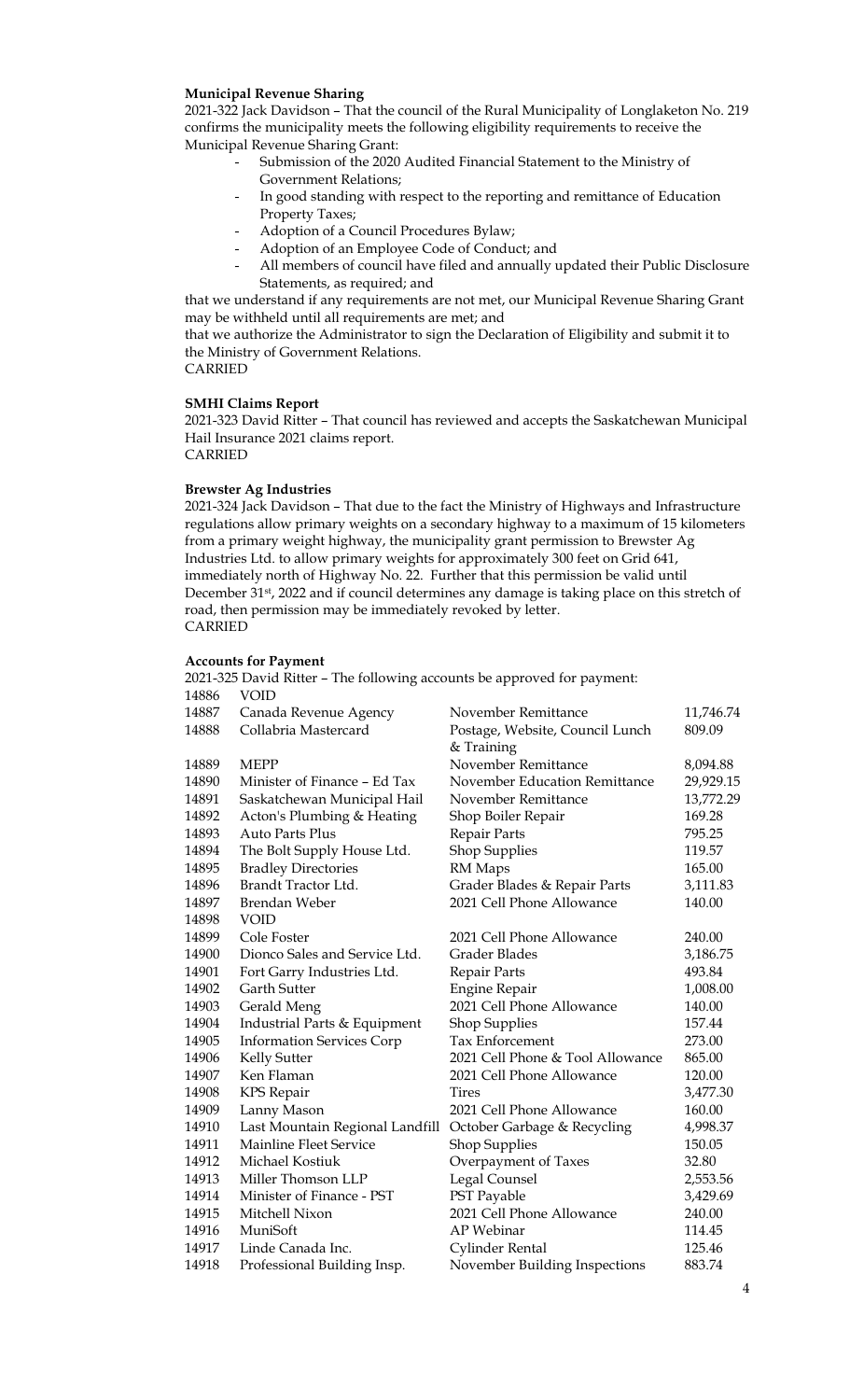## **Municipal Revenue Sharing**

2021-322 Jack Davidson – That the council of the Rural Municipality of Longlaketon No. 219 confirms the municipality meets the following eligibility requirements to receive the Municipal Revenue Sharing Grant:

- Submission of the 2020 Audited Financial Statement to the Ministry of Government Relations;
- In good standing with respect to the reporting and remittance of Education Property Taxes;
- Adoption of a Council Procedures Bylaw;
- Adoption of an Employee Code of Conduct; and
- All members of council have filed and annually updated their Public Disclosure Statements, as required; and

that we understand if any requirements are not met, our Municipal Revenue Sharing Grant may be withheld until all requirements are met; and

that we authorize the Administrator to sign the Declaration of Eligibility and submit it to the Ministry of Government Relations.

CARRIED

**SMHI Claims Report**

2021-323 David Ritter – That council has reviewed and accepts the Saskatchewan Municipal Hail Insurance 2021 claims report.

CARRIED

### **Brewster Ag Industries**

2021-324 Jack Davidson – That due to the fact the Ministry of Highways and Infrastructure regulations allow primary weights on a secondary highway to a maximum of 15 kilometers from a primary weight highway, the municipality grant permission to Brewster Ag Industries Ltd. to allow primary weights for approximately 300 feet on Grid 641, immediately north of Highway No. 22. Further that this permission be valid until December 31st, 2022 and if council determines any damage is taking place on this stretch of road, then permission may be immediately revoked by letter. CARRIED

### **Accounts for Payment**

2021-325 David Ritter – The following accounts be approved for payment: 14886 VOID

| 14887 | Canada Revenue Agency            | November Remittance                           | 11,746.74 |
|-------|----------------------------------|-----------------------------------------------|-----------|
| 14888 | Collabria Mastercard             | Postage, Website, Council Lunch<br>& Training | 809.09    |
| 14889 | <b>MEPP</b>                      | November Remittance                           | 8,094.88  |
| 14890 | Minister of Finance - Ed Tax     | November Education Remittance                 | 29,929.15 |
| 14891 | Saskatchewan Municipal Hail      | November Remittance                           | 13,772.29 |
| 14892 | Acton's Plumbing & Heating       | Shop Boiler Repair                            | 169.28    |
| 14893 | <b>Auto Parts Plus</b>           | Repair Parts                                  | 795.25    |
| 14894 | The Bolt Supply House Ltd.       | <b>Shop Supplies</b>                          | 119.57    |
| 14895 | <b>Bradley Directories</b>       | RM Maps                                       | 165.00    |
| 14896 | Brandt Tractor Ltd.              | Grader Blades & Repair Parts                  | 3,111.83  |
| 14897 | Brendan Weber                    | 2021 Cell Phone Allowance                     | 140.00    |
| 14898 | <b>VOID</b>                      |                                               |           |
| 14899 | Cole Foster                      | 2021 Cell Phone Allowance                     | 240.00    |
| 14900 | Dionco Sales and Service Ltd.    | Grader Blades                                 | 3,186.75  |
| 14901 | Fort Garry Industries Ltd.       | Repair Parts                                  | 493.84    |
| 14902 | <b>Garth Sutter</b>              | <b>Engine Repair</b>                          | 1,008.00  |
| 14903 | Gerald Meng                      | 2021 Cell Phone Allowance                     | 140.00    |
| 14904 | Industrial Parts & Equipment     | <b>Shop Supplies</b>                          | 157.44    |
| 14905 | <b>Information Services Corp</b> | <b>Tax Enforcement</b>                        | 273.00    |
| 14906 | Kelly Sutter                     | 2021 Cell Phone & Tool Allowance              | 865.00    |
| 14907 | Ken Flaman                       | 2021 Cell Phone Allowance                     | 120.00    |
| 14908 | KPS Repair                       | Tires                                         | 3,477.30  |
| 14909 | Lanny Mason                      | 2021 Cell Phone Allowance                     | 160.00    |
| 14910 | Last Mountain Regional Landfill  | October Garbage & Recycling                   | 4,998.37  |
| 14911 | Mainline Fleet Service           | <b>Shop Supplies</b>                          | 150.05    |
| 14912 | Michael Kostiuk                  | Overpayment of Taxes                          | 32.80     |
| 14913 | Miller Thomson LLP               | Legal Counsel                                 | 2,553.56  |
| 14914 | Minister of Finance - PST        | PST Payable                                   | 3,429.69  |
| 14915 | Mitchell Nixon                   | 2021 Cell Phone Allowance                     | 240.00    |
| 14916 | MuniSoft                         | <b>AP</b> Webinar                             | 114.45    |
| 14917 | Linde Canada Inc.                | Cylinder Rental                               | 125.46    |
| 14918 | Professional Building Insp.      | November Building Inspections                 | 883.74    |
|       |                                  |                                               |           |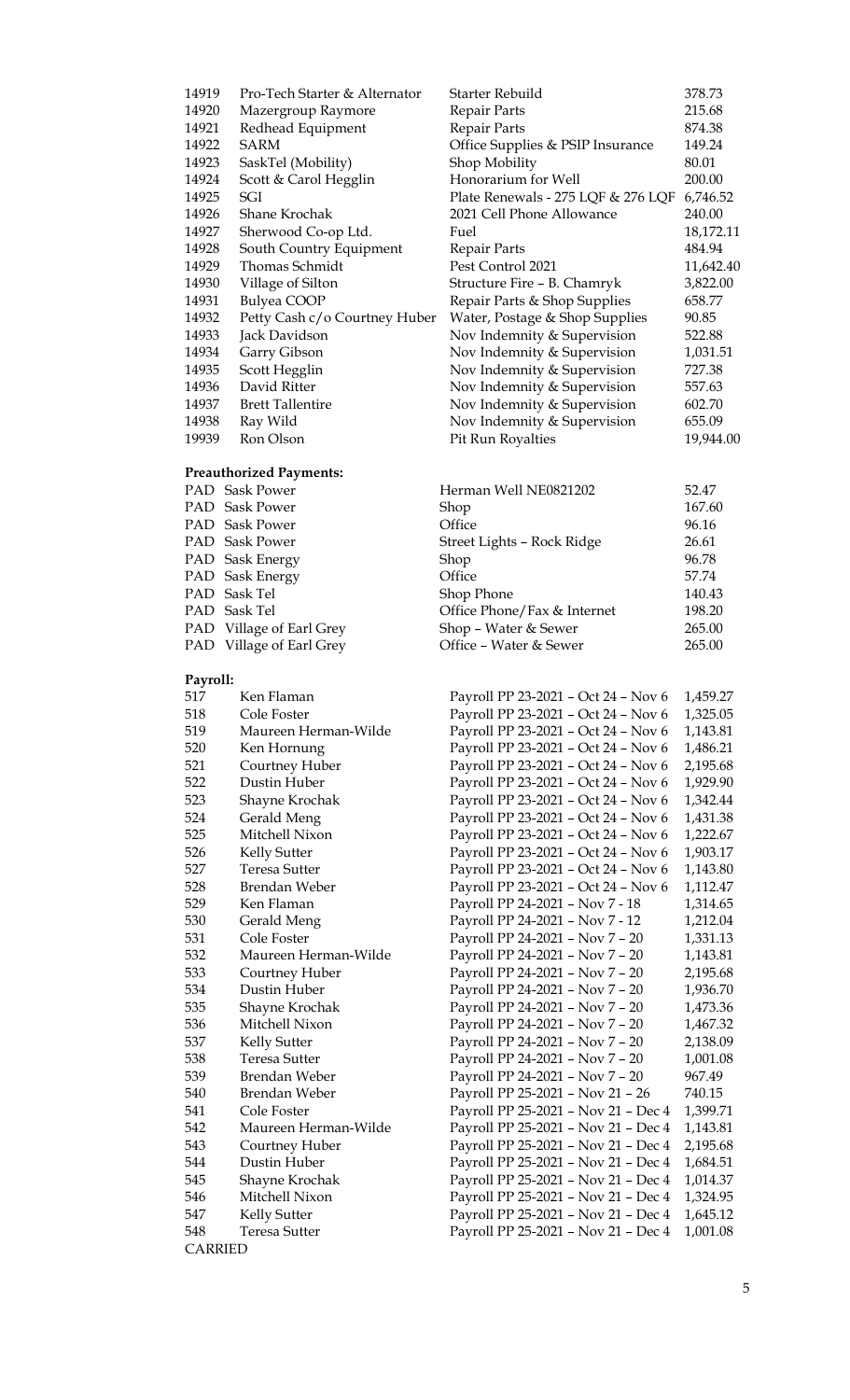| 14919 | Pro-Tech Starter & Alternator | Starter Rebuild                    | 378.73    |
|-------|-------------------------------|------------------------------------|-----------|
| 14920 | Mazergroup Raymore            | Repair Parts                       | 215.68    |
| 14921 | Redhead Equipment             | Repair Parts                       | 874.38    |
| 14922 | SARM                          | Office Supplies & PSIP Insurance   | 149.24    |
| 14923 | SaskTel (Mobility)            | Shop Mobility                      | 80.01     |
| 14924 | Scott & Carol Hegglin         | Honorarium for Well                | 200.00    |
| 14925 | SGI                           | Plate Renewals - 275 LQF & 276 LQF | 6,746.52  |
| 14926 | Shane Krochak                 | 2021 Cell Phone Allowance          | 240.00    |
| 14927 | Sherwood Co-op Ltd.           | Fuel                               | 18,172.11 |
| 14928 | South Country Equipment       | Repair Parts                       | 484.94    |
| 14929 | Thomas Schmidt                | Pest Control 2021                  | 11,642.40 |
| 14930 | Village of Silton             | Structure Fire - B. Chamryk        | 3,822.00  |
| 14931 | Bulyea COOP                   | Repair Parts & Shop Supplies       | 658.77    |
| 14932 | Petty Cash c/o Courtney Huber | Water, Postage & Shop Supplies     | 90.85     |
| 14933 | Jack Davidson                 | Nov Indemnity & Supervision        | 522.88    |
| 14934 | Garry Gibson                  | Nov Indemnity & Supervision        | 1,031.51  |
| 14935 | Scott Hegglin                 | Nov Indemnity & Supervision        | 727.38    |
| 14936 | David Ritter                  | Nov Indemnity & Supervision        | 557.63    |
| 14937 | <b>Brett Tallentire</b>       | Nov Indemnity & Supervision        | 602.70    |
| 14938 | Ray Wild                      | Nov Indemnity & Supervision        | 655.09    |
| 19939 | Ron Olson                     | <b>Pit Run Royalties</b>           | 19,944.00 |
|       |                               |                                    |           |

### **Preauthorized Payments:**

| PAD Sask Power           | Herman Well NE0821202       | 52.47  |
|--------------------------|-----------------------------|--------|
| PAD Sask Power           | Shop                        | 167.60 |
| PAD Sask Power           | Office                      | 96.16  |
| PAD Sask Power           | Street Lights - Rock Ridge  | 26.61  |
| PAD Sask Energy          | Shop                        | 96.78  |
| PAD Sask Energy          | Office                      | 57.74  |
| PAD Sask Tel             | Shop Phone                  | 140.43 |
| PAD Sask Tel             | Office Phone/Fax & Internet | 198.20 |
| PAD Village of Earl Grey | Shop - Water & Sewer        | 265.00 |
| PAD Village of Earl Grey | Office - Water & Sewer      | 265.00 |
|                          |                             |        |

### **Payroll:**

| 517 | Ken Flaman           |
|-----|----------------------|
| 518 | Cole Foster          |
| 519 | Maureen Herman-Wilde |
| 520 | Ken Hornung          |
| 521 | Courtney Huber       |
| 522 | Dustin Huber         |
| 523 | Shayne Krochak       |
| 524 | Gerald Meng          |
| 525 | Mitchell Nixon       |
| 526 | <b>Kelly Sutter</b>  |
| 527 | <b>Teresa Sutter</b> |
| 528 | Brendan Weber        |
| 529 | Ken Flaman           |
| 530 | Gerald Meng          |
| 531 | Cole Foster          |
| 532 | Maureen Herman-Wilde |
| 533 | Courtney Huber       |
| 534 | Dustin Huber         |
| 535 | Shayne Krochak       |
| 536 | Mitchell Nixon       |
| 537 | <b>Kelly Sutter</b>  |
| 538 | <b>Teresa Sutter</b> |
| 539 | Brendan Weber        |
| 540 | Brendan Weber        |
| 541 | Cole Foster          |
| 542 | Maureen Herman-Wilde |
| 543 | Courtney Huber       |
| 544 | Dustin Huber         |
| 545 | Shayne Krochak       |
| 546 | Mitchell Nixon       |
| 547 | Kelly Sutter         |
| 548 | Teresa Sutter        |

CARRIED

Payroll PP 23-2021 – Oct 24 – Nov 6 1,459.27 Payroll PP 23-2021 - Oct 24 - Nov 6 1,325.05 Payroll PP 23-2021 – Oct 24 – Nov 6 1,143.81 Payroll PP 23-2021 - Oct 24 - Nov 6 1,486.21 Payroll PP 23-2021 – Oct 24 – Nov 6 2,195.68 Payroll PP 23-2021 - Oct 24 - Nov 6 1,929.90 Payroll PP 23-2021 - Oct 24 - Nov 6 1,342.44 Payroll PP 23-2021 – Oct 24 – Nov 6 1,431.38 Payroll PP 23-2021 – Oct 24 – Nov 6 1,222.67 Payroll PP 23-2021 – Oct 24 – Nov 6 1,903.17 Payroll PP 23-2021 – Oct 24 – Nov 6 1,143.80 Payroll PP 23-2021 – Oct 24 – Nov 6 1,112.47 Payroll PP 24-2021 - Nov 7 - 18 1,314.65 Payroll PP 24-2021 – Nov 7 - 12 1,212.04 Payroll PP 24-2021 – Nov 7 – 20 1,331.13 Payroll PP 24-2021 – Nov 7 – 20 1,143.81 Payroll PP 24-2021 – Nov 7 – 20 2,195.68 Payroll PP 24-2021 – Nov 7 – 20 1,936.70 Payroll PP 24-2021 – Nov 7 – 20 1,473.36 Payroll PP 24-2021 – Nov 7 – 20 1,467.32 Payroll PP 24-2021 - Nov 7 - 20 2,138.09 Payroll PP 24-2021 – Nov 7 – 20 1,001.08 Payroll PP 24-2021 – Nov 7 – 20 967.49 Payroll PP 25-2021 – Nov 21 – 26 740.15 Payroll PP 25-2021 - Nov 21 - Dec 4 1,399.71 Payroll PP 25-2021 – Nov 21 – Dec 4 1,143.81 Payroll PP 25-2021 – Nov 21 – Dec 4 2,195.68 Payroll PP 25-2021 – Nov 21 – Dec 4 1,684.51 Payroll PP 25-2021 – Nov 21 – Dec 4 1,014.37 Payroll PP 25-2021 - Nov 21 - Dec 4 1,324.95 Payroll PP 25-2021 - Nov 21 - Dec 4 1,645.12 Payroll PP 25-2021 - Nov 21 - Dec 4 1,001.08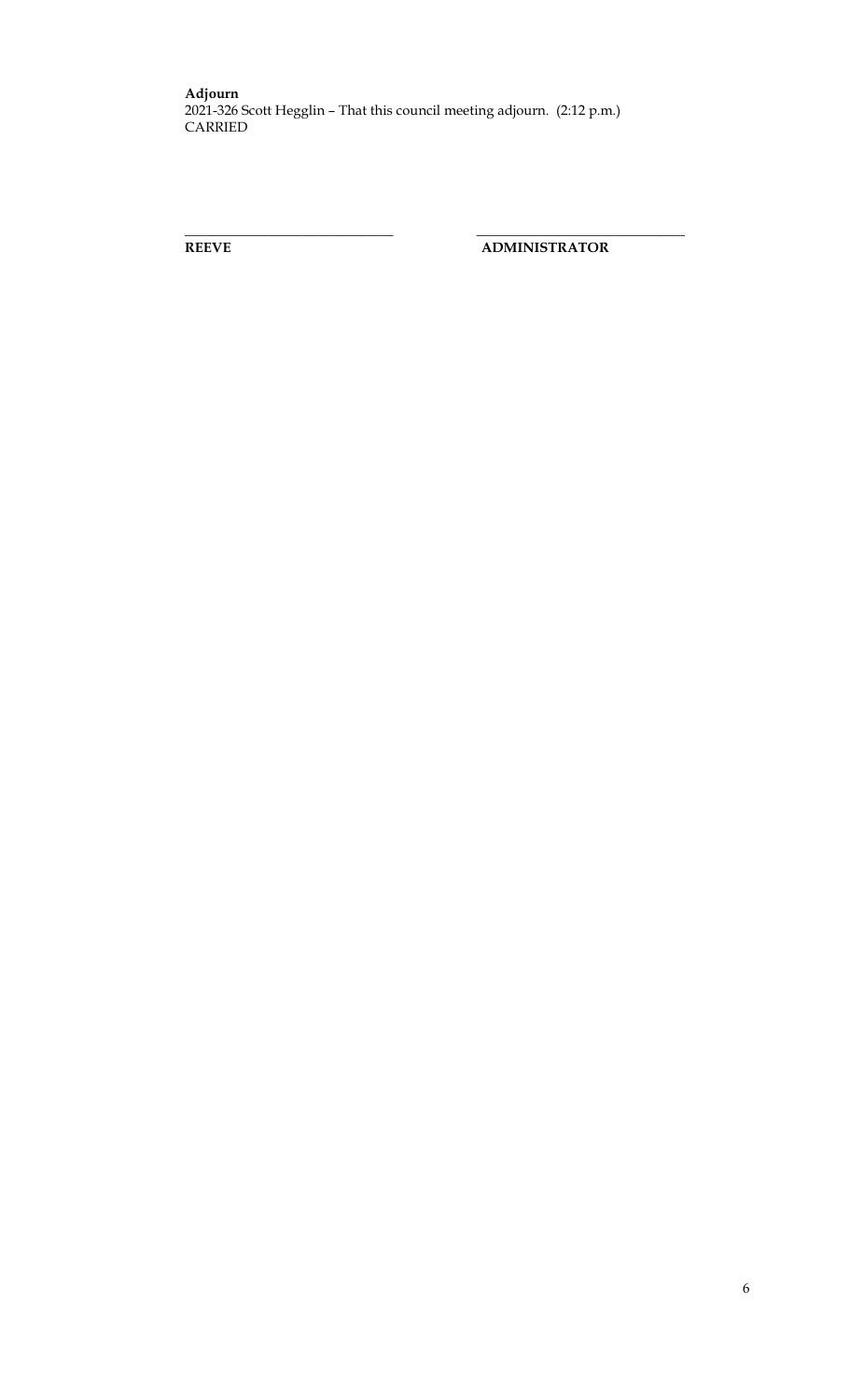**\_\_\_\_\_\_\_\_\_\_\_\_\_\_\_\_\_\_\_\_\_\_\_\_\_\_\_\_\_\_ \_\_\_\_\_\_\_\_\_\_\_\_\_\_\_\_\_\_\_\_\_\_\_\_\_\_\_\_\_\_**

**REEVE ADMINISTRATOR**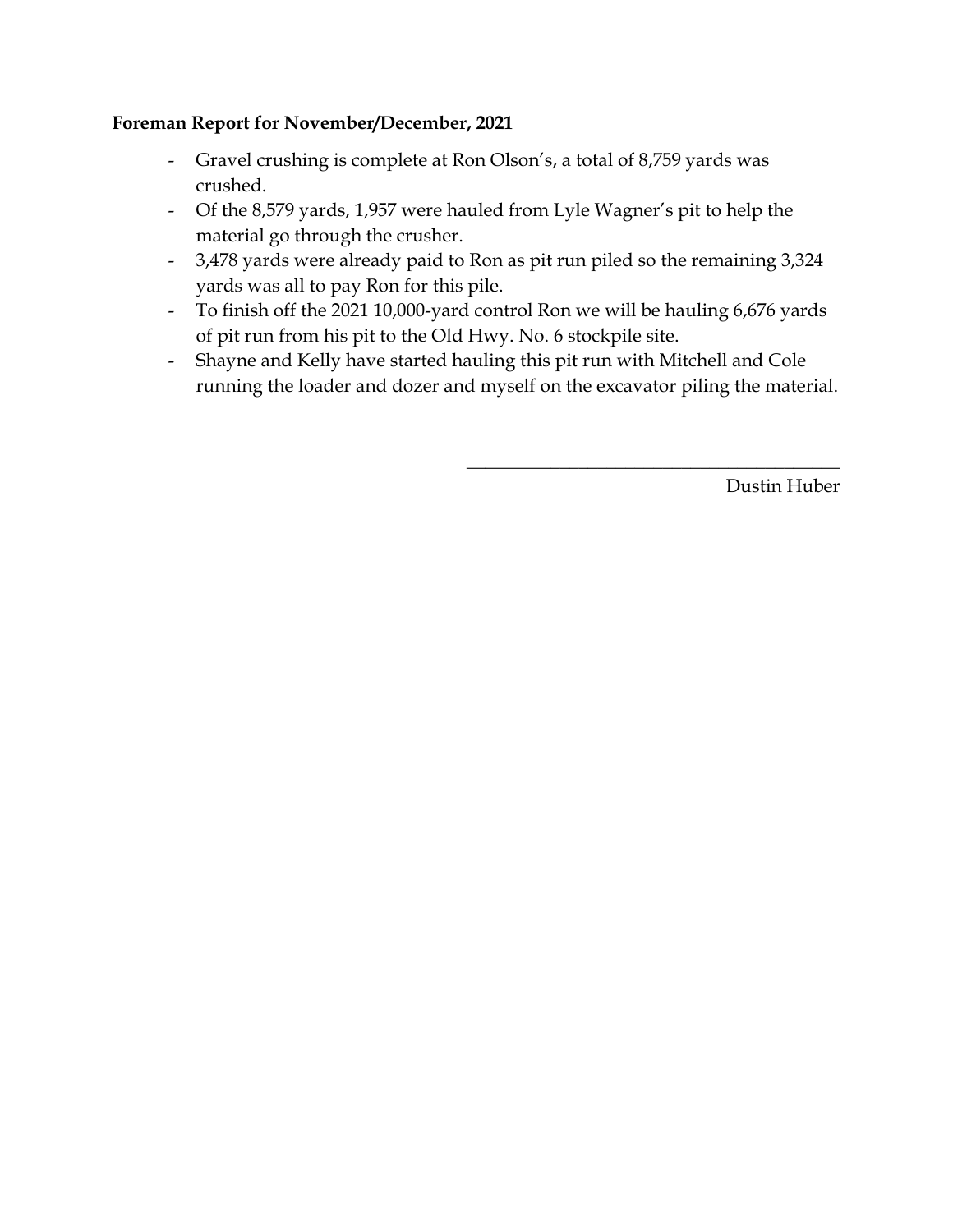# **Foreman Report for November/December, 2021**

- Gravel crushing is complete at Ron Olson's, a total of 8,759 yards was crushed.
- Of the 8,579 yards, 1,957 were hauled from Lyle Wagner's pit to help the material go through the crusher.
- 3,478 yards were already paid to Ron as pit run piled so the remaining 3,324 yards was all to pay Ron for this pile.
- To finish off the 2021 10,000-yard control Ron we will be hauling 6,676 yards of pit run from his pit to the Old Hwy. No. 6 stockpile site.
- Shayne and Kelly have started hauling this pit run with Mitchell and Cole running the loader and dozer and myself on the excavator piling the material.

Dustin Huber

 $\overline{\phantom{a}}$  , where  $\overline{\phantom{a}}$  , where  $\overline{\phantom{a}}$  ,  $\overline{\phantom{a}}$  ,  $\overline{\phantom{a}}$  ,  $\overline{\phantom{a}}$  ,  $\overline{\phantom{a}}$  ,  $\overline{\phantom{a}}$  ,  $\overline{\phantom{a}}$  ,  $\overline{\phantom{a}}$  ,  $\overline{\phantom{a}}$  ,  $\overline{\phantom{a}}$  ,  $\overline{\phantom{a}}$  ,  $\overline{\phantom{a}}$  ,  $\overline{\phantom{a}}$  ,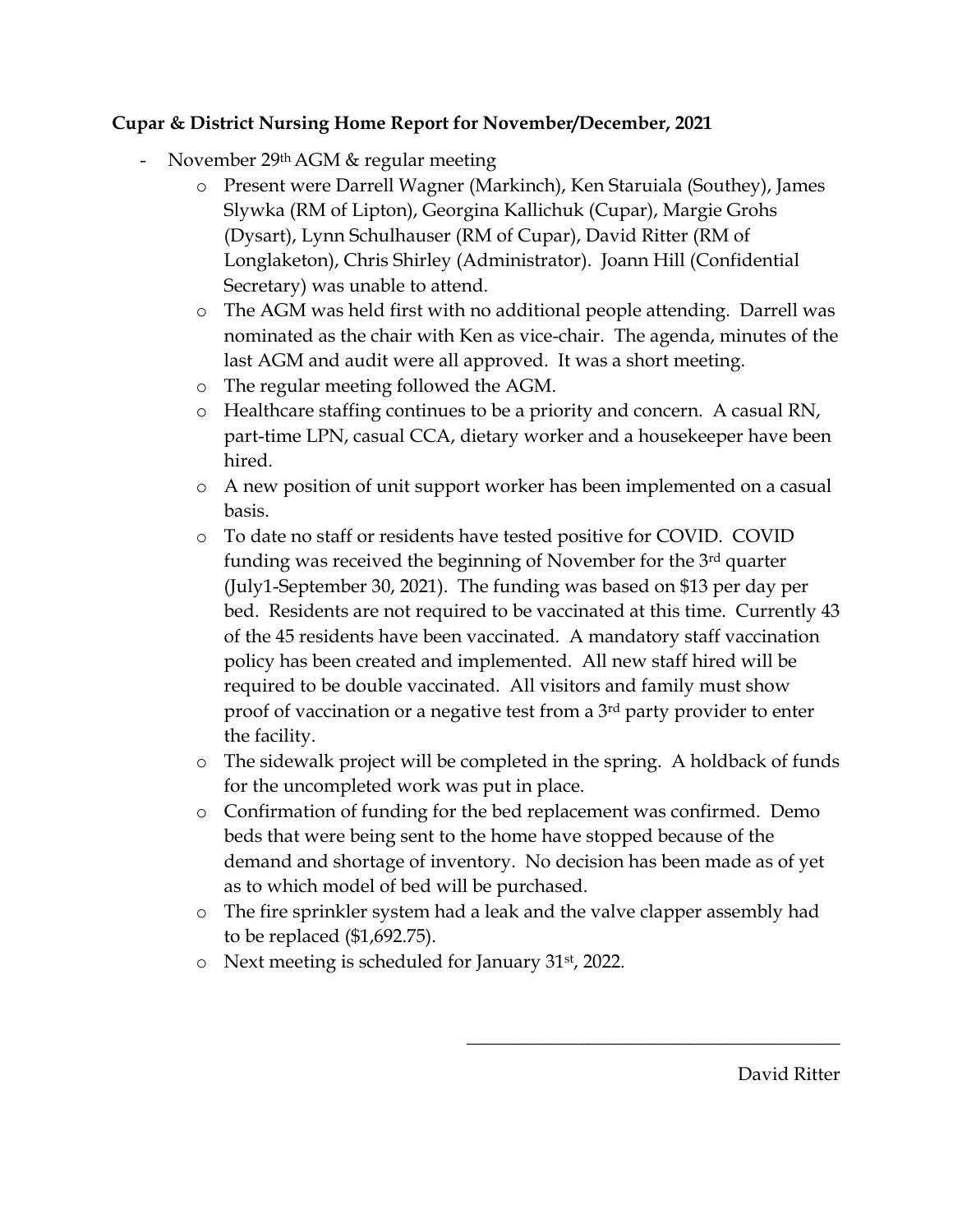# **Cupar & District Nursing Home Report for November/December, 2021**

- November 29<sup>th</sup> AGM & regular meeting
	- o Present were Darrell Wagner (Markinch), Ken Staruiala (Southey), James Slywka (RM of Lipton), Georgina Kallichuk (Cupar), Margie Grohs (Dysart), Lynn Schulhauser (RM of Cupar), David Ritter (RM of Longlaketon), Chris Shirley (Administrator). Joann Hill (Confidential Secretary) was unable to attend.
	- o The AGM was held first with no additional people attending. Darrell was nominated as the chair with Ken as vice-chair. The agenda, minutes of the last AGM and audit were all approved. It was a short meeting.
	- o The regular meeting followed the AGM.
	- o Healthcare staffing continues to be a priority and concern. A casual RN, part-time LPN, casual CCA, dietary worker and a housekeeper have been hired.
	- o A new position of unit support worker has been implemented on a casual basis.
	- o To date no staff or residents have tested positive for COVID. COVID funding was received the beginning of November for the 3rd quarter (July1-September 30, 2021). The funding was based on \$13 per day per bed. Residents are not required to be vaccinated at this time. Currently 43 of the 45 residents have been vaccinated. A mandatory staff vaccination policy has been created and implemented. All new staff hired will be required to be double vaccinated. All visitors and family must show proof of vaccination or a negative test from a 3rd party provider to enter the facility.
	- o The sidewalk project will be completed in the spring. A holdback of funds for the uncompleted work was put in place.
	- o Confirmation of funding for the bed replacement was confirmed. Demo beds that were being sent to the home have stopped because of the demand and shortage of inventory. No decision has been made as of yet as to which model of bed will be purchased.
	- o The fire sprinkler system had a leak and the valve clapper assembly had to be replaced (\$1,692.75).
	- o Next meeting is scheduled for January 31st, 2022.

David Ritter

 $\frac{1}{2}$  , and the set of the set of the set of the set of the set of the set of the set of the set of the set of the set of the set of the set of the set of the set of the set of the set of the set of the set of the set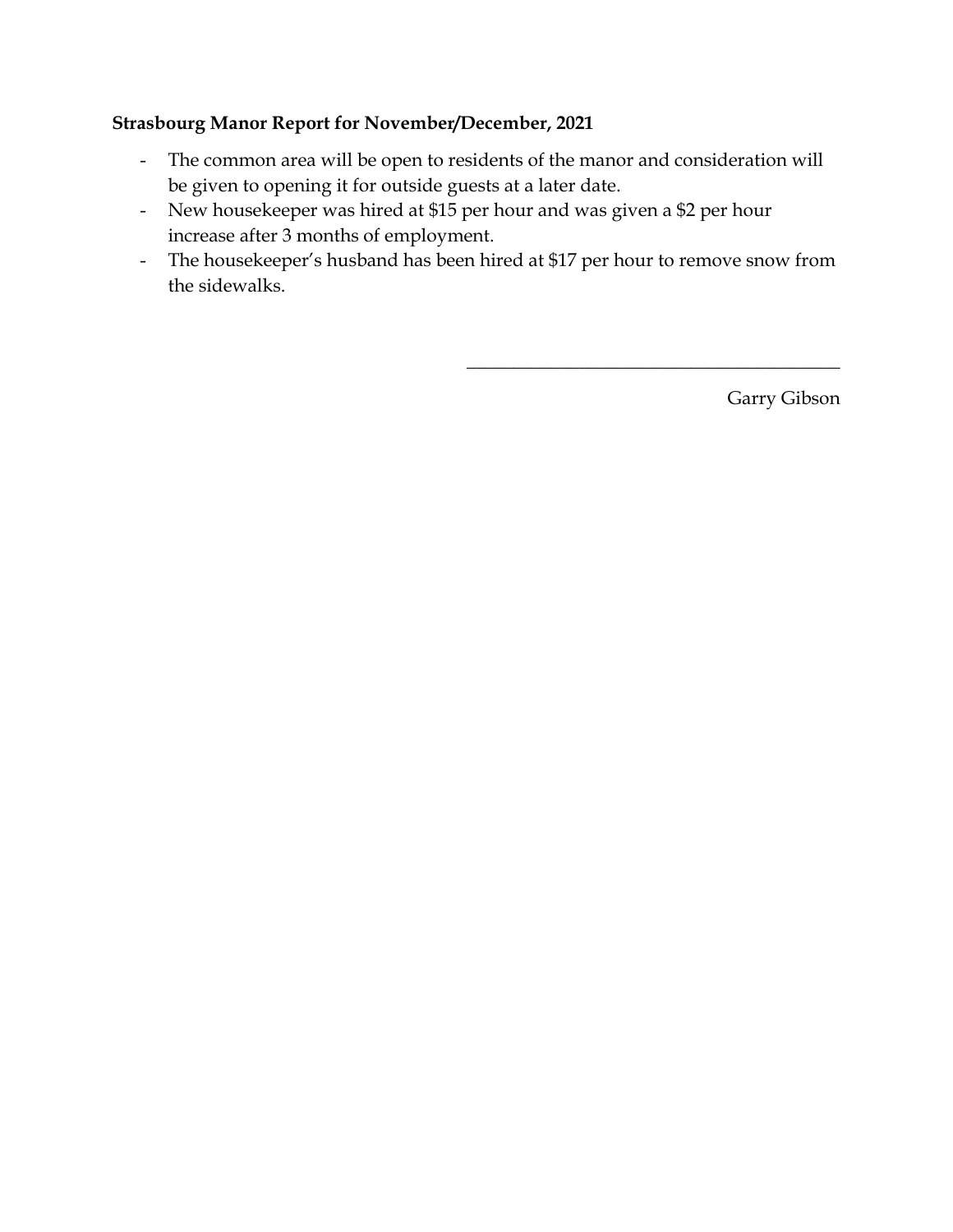# **Strasbourg Manor Report for November/December, 2021**

- The common area will be open to residents of the manor and consideration will be given to opening it for outside guests at a later date.
- New housekeeper was hired at \$15 per hour and was given a \$2 per hour increase after 3 months of employment.
- The housekeeper's husband has been hired at \$17 per hour to remove snow from the sidewalks.

Garry Gibson

 $\overline{\phantom{a}}$  , where  $\overline{\phantom{a}}$  , where  $\overline{\phantom{a}}$  ,  $\overline{\phantom{a}}$  ,  $\overline{\phantom{a}}$  ,  $\overline{\phantom{a}}$  ,  $\overline{\phantom{a}}$  ,  $\overline{\phantom{a}}$  ,  $\overline{\phantom{a}}$  ,  $\overline{\phantom{a}}$  ,  $\overline{\phantom{a}}$  ,  $\overline{\phantom{a}}$  ,  $\overline{\phantom{a}}$  ,  $\overline{\phantom{a}}$  ,  $\overline{\phantom{a}}$  ,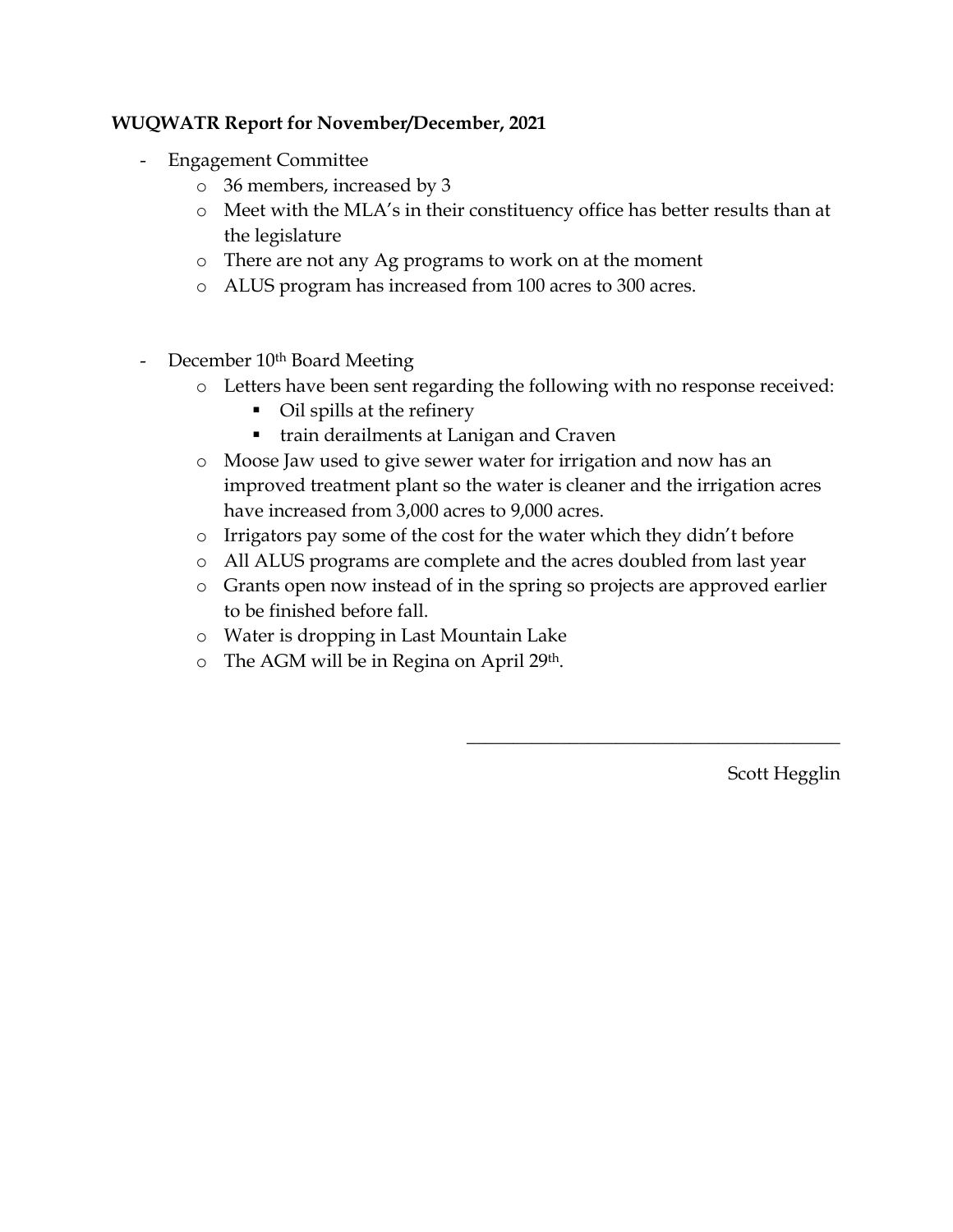# **WUQWATR Report for November/December, 2021**

- Engagement Committee
	- o 36 members, increased by 3
	- o Meet with the MLA's in their constituency office has better results than at the legislature
	- o There are not any Ag programs to work on at the moment
	- o ALUS program has increased from 100 acres to 300 acres.
- December 10<sup>th</sup> Board Meeting
	- o Letters have been sent regarding the following with no response received:
		- Oil spills at the refinery
		- **train derailments at Lanigan and Craven**
	- o Moose Jaw used to give sewer water for irrigation and now has an improved treatment plant so the water is cleaner and the irrigation acres have increased from 3,000 acres to 9,000 acres.
	- o Irrigators pay some of the cost for the water which they didn't before
	- o All ALUS programs are complete and the acres doubled from last year
	- o Grants open now instead of in the spring so projects are approved earlier to be finished before fall.
	- o Water is dropping in Last Mountain Lake
	- o The AGM will be in Regina on April 29th.

Scott Hegglin

 $\overline{\phantom{a}}$  , where  $\overline{\phantom{a}}$  , where  $\overline{\phantom{a}}$  ,  $\overline{\phantom{a}}$  ,  $\overline{\phantom{a}}$  ,  $\overline{\phantom{a}}$  ,  $\overline{\phantom{a}}$  ,  $\overline{\phantom{a}}$  ,  $\overline{\phantom{a}}$  ,  $\overline{\phantom{a}}$  ,  $\overline{\phantom{a}}$  ,  $\overline{\phantom{a}}$  ,  $\overline{\phantom{a}}$  ,  $\overline{\phantom{a}}$  ,  $\overline{\phantom{a}}$  ,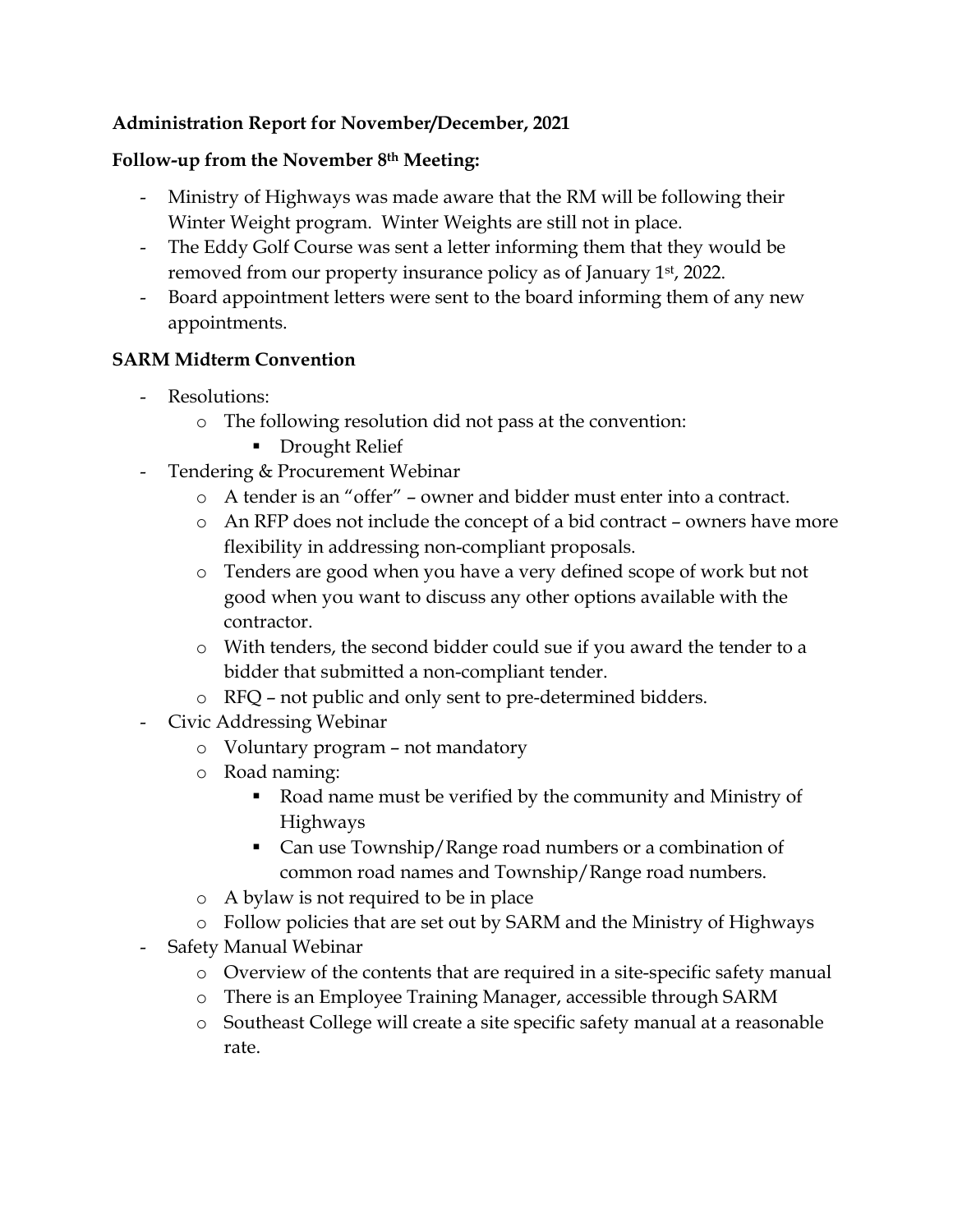# **Administration Report for November/December, 2021**

# **Follow-up from the November 8th Meeting:**

- Ministry of Highways was made aware that the RM will be following their Winter Weight program. Winter Weights are still not in place.
- The Eddy Golf Course was sent a letter informing them that they would be removed from our property insurance policy as of January 1st, 2022.
- Board appointment letters were sent to the board informing them of any new appointments.

# **SARM Midterm Convention**

- Resolutions:
	- o The following resolution did not pass at the convention:
		- **Drought Relief**
- Tendering & Procurement Webinar
	- o A tender is an "offer" owner and bidder must enter into a contract.
	- o An RFP does not include the concept of a bid contract owners have more flexibility in addressing non-compliant proposals.
	- o Tenders are good when you have a very defined scope of work but not good when you want to discuss any other options available with the contractor.
	- o With tenders, the second bidder could sue if you award the tender to a bidder that submitted a non-compliant tender.
	- o RFQ not public and only sent to pre-determined bidders.
- Civic Addressing Webinar
	- o Voluntary program not mandatory
	- o Road naming:
		- Road name must be verified by the community and Ministry of Highways
		- Can use Township/Range road numbers or a combination of common road names and Township/Range road numbers.
	- o A bylaw is not required to be in place
	- o Follow policies that are set out by SARM and the Ministry of Highways
- Safety Manual Webinar
	- o Overview of the contents that are required in a site-specific safety manual
	- o There is an Employee Training Manager, accessible through SARM
	- o Southeast College will create a site specific safety manual at a reasonable rate.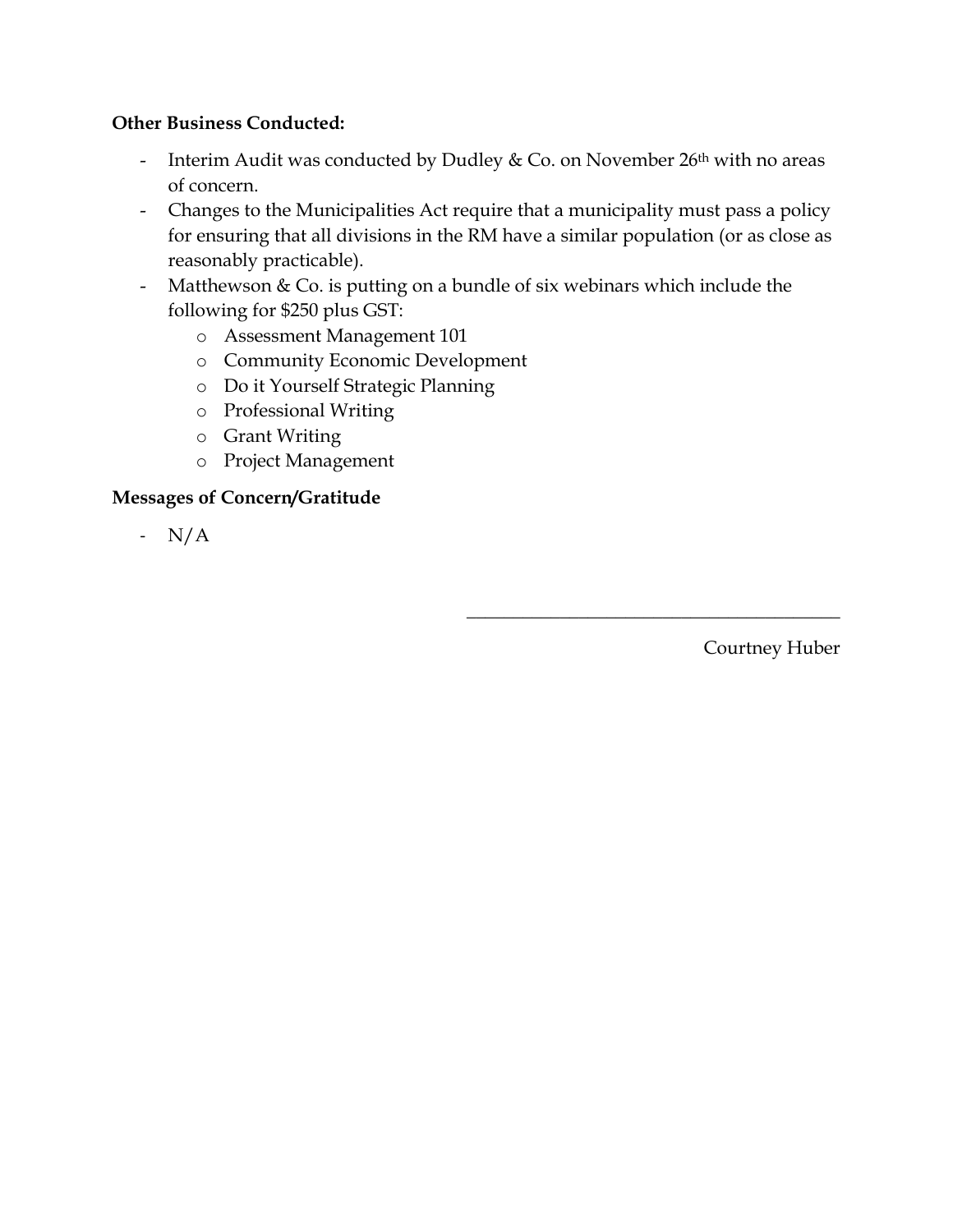# **Other Business Conducted:**

- Interim Audit was conducted by Dudley & Co. on November  $26<sup>th</sup>$  with no areas of concern.
- Changes to the Municipalities Act require that a municipality must pass a policy for ensuring that all divisions in the RM have a similar population (or as close as reasonably practicable).
- Matthewson & Co. is putting on a bundle of six webinars which include the following for \$250 plus GST:
	- o Assessment Management 101
	- o Community Economic Development
	- o Do it Yourself Strategic Planning
	- o Professional Writing
	- o Grant Writing
	- o Project Management

## **Messages of Concern/Gratitude**

- N/A

Courtney Huber

 $\overline{\phantom{a}}$  , and the set of the set of the set of the set of the set of the set of the set of the set of the set of the set of the set of the set of the set of the set of the set of the set of the set of the set of the s